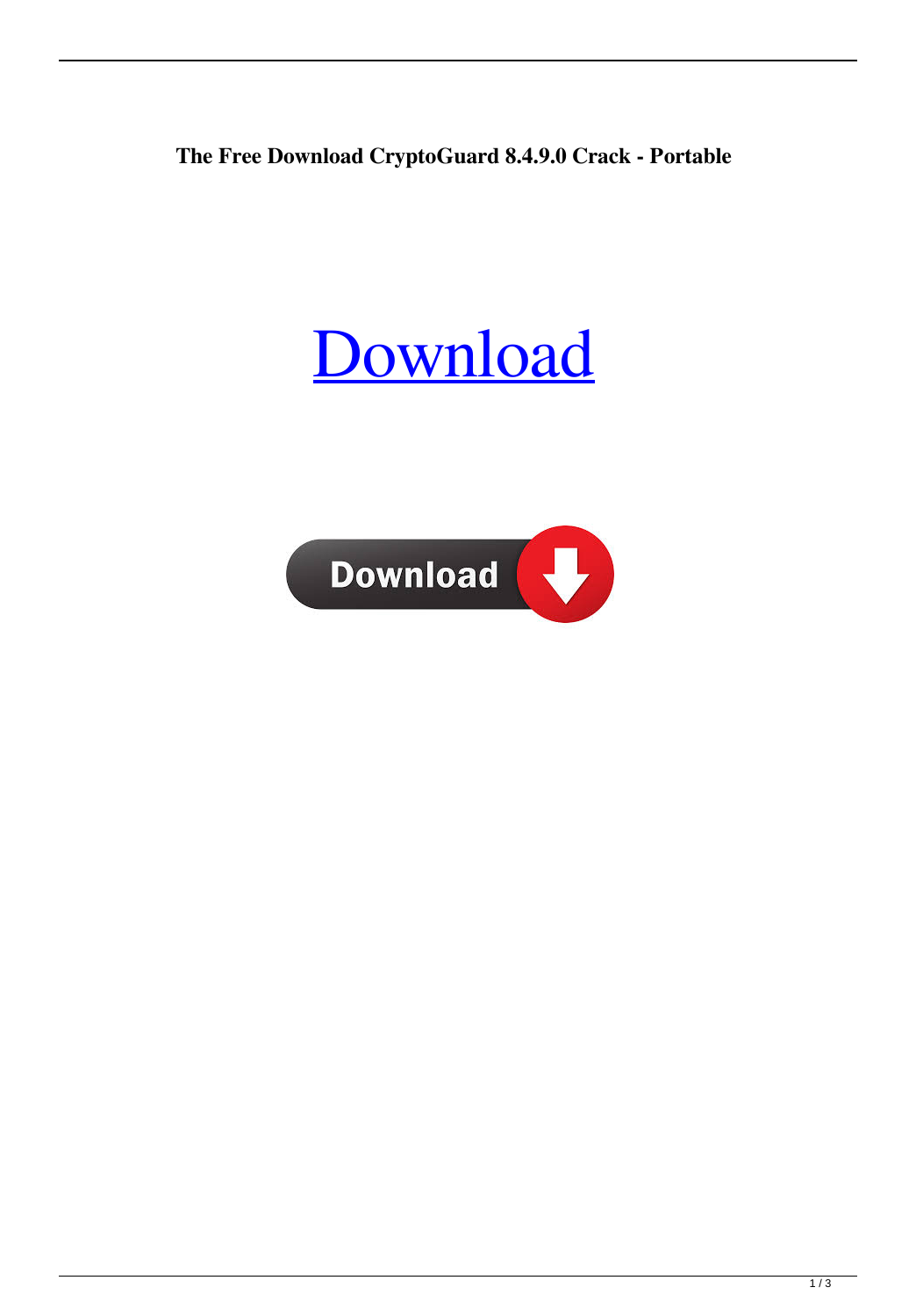**The Free Download CryptoGuard 8.4.9.0 Crack - Portable**

## [Download](https://urloso.com/2l1cli)

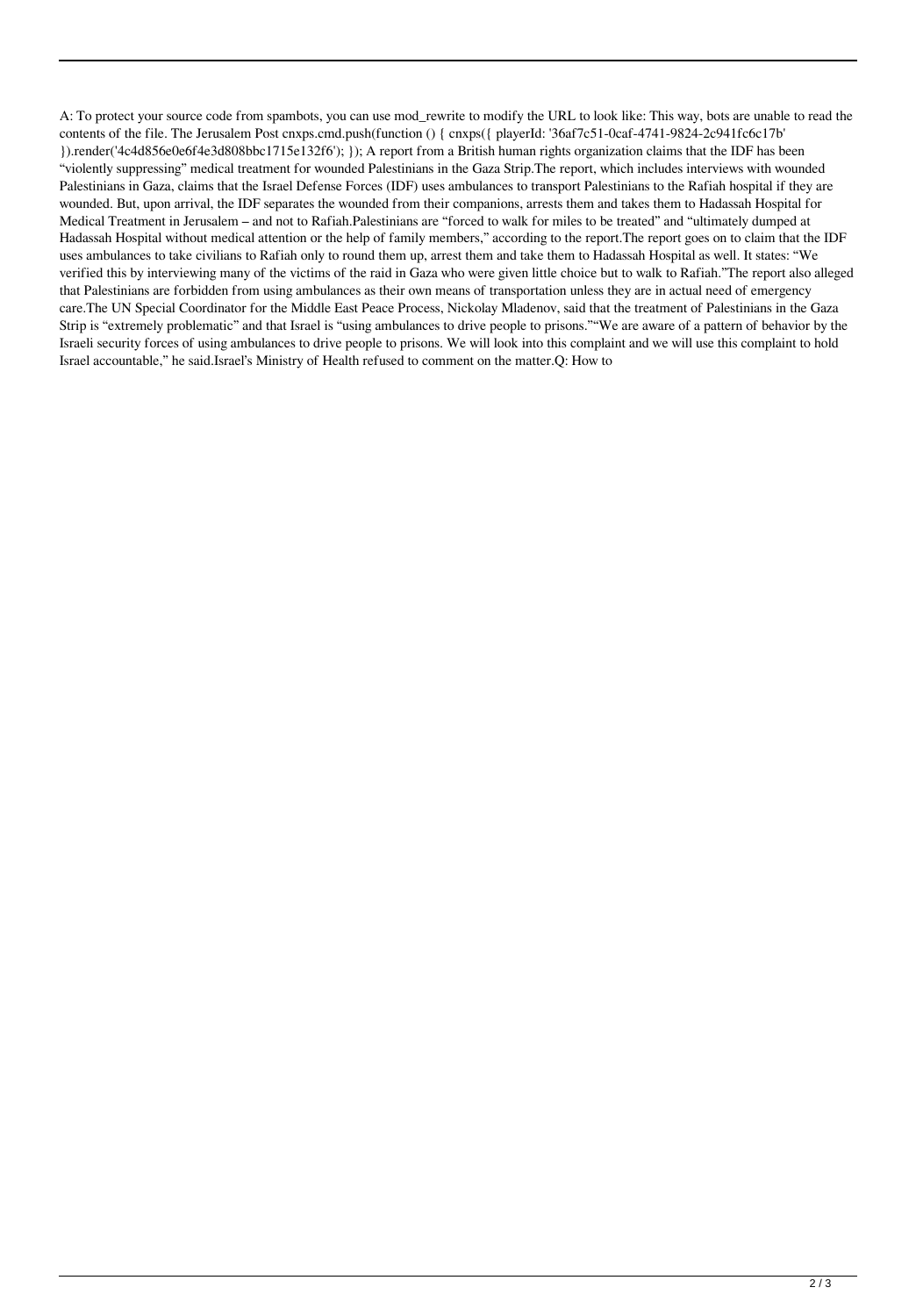A: To protect your source code from spambots, you can use mod\_rewrite to modify the URL to look like: This way, bots are unable to read the contents of the file. The Jerusalem Post cnxps.cmd.push(function () { cnxps({ playerId: '36af7c51-0caf-4741-9824-2c941fc6c17b' }).render('4c4d856e0e6f4e3d808bbc1715e132f6'); }); A report from a British human rights organization claims that the IDF has been "violently suppressing" medical treatment for wounded Palestinians in the Gaza Strip.The report, which includes interviews with wounded Palestinians in Gaza, claims that the Israel Defense Forces (IDF) uses ambulances to transport Palestinians to the Rafiah hospital if they are wounded. But, upon arrival, the IDF separates the wounded from their companions, arrests them and takes them to Hadassah Hospital for Medical Treatment in Jerusalem – and not to Rafiah.Palestinians are "forced to walk for miles to be treated" and "ultimately dumped at Hadassah Hospital without medical attention or the help of family members," according to the report.The report goes on to claim that the IDF uses ambulances to take civilians to Rafiah only to round them up, arrest them and take them to Hadassah Hospital as well. It states: "We verified this by interviewing many of the victims of the raid in Gaza who were given little choice but to walk to Rafiah."The report also alleged that Palestinians are forbidden from using ambulances as their own means of transportation unless they are in actual need of emergency care.The UN Special Coordinator for the Middle East Peace Process, Nickolay Mladenov, said that the treatment of Palestinians in the Gaza Strip is "extremely problematic" and that Israel is "using ambulances to drive people to prisons.""We are aware of a pattern of behavior by the Israeli security forces of using ambulances to drive people to prisons. We will look into this complaint and we will use this complaint to hold Israel accountable," he said.Israel's Ministry of Health refused to comment on the matter.Q: How to